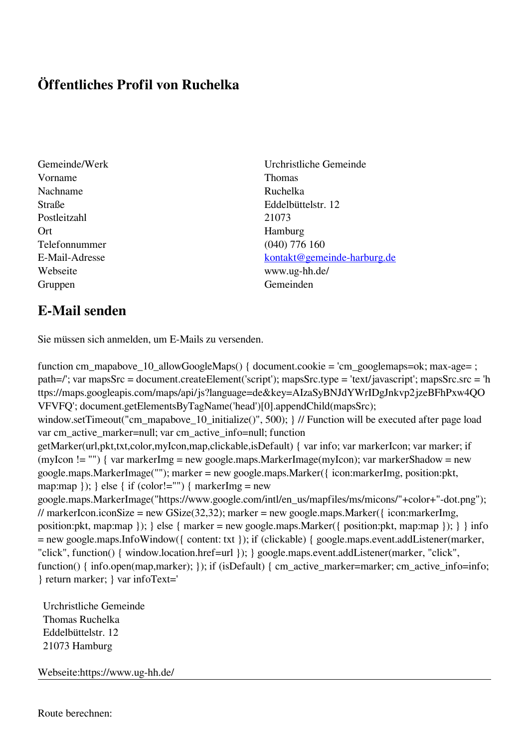## **Öffentliches Profil von Ruchelka**

- Vorname Thomas Nachname Ruchelka Postleitzahl 21073 Ort Hamburg Telefonnummer (040) 776 160 Webseite www.ug-hh.de/ Gruppen Gemeinden Gemeinden Gemeinden Gemeinden Gemeinden Gemeinden Gemeinden Gemeinden Gemeinden Gemeinden G
- Gemeinde/Werk Urchristliche Gemeinde Straße Eddelbüttelstr. 12 E-Mail-Adresse [kontakt@gemeinde-harburg.de](mailto:kontakt@gemeinde-harburg.de)

## **E-Mail senden**

Sie müssen sich anmelden, um E-Mails zu versenden.

function cm\_mapabove\_10\_allowGoogleMaps() { document.cookie = 'cm\_googlemaps=ok; max-age= ; path=/'; var mapsSrc = document.createElement('script'); mapsSrc.type = 'text/javascript'; mapsSrc.src = 'h ttps://maps.googleapis.com/maps/api/js?language=de&key=AIzaSyBNJdYWrIDgJnkvp2jzeBFhPxw4QO VFVFQ'; document.getElementsByTagName('head')[0].appendChild(mapsSrc); window.setTimeout("cm\_mapabove\_10\_initialize()", 500); } // Function will be executed after page load var cm\_active\_marker=null; var cm\_active\_info=null; function getMarker(url,pkt,txt,color,myIcon,map,clickable,isDefault) { var info; var markerIcon; var marker; if (myIcon != "") { var markerImg = new google.maps.MarkerImage(myIcon); var markerShadow = new google.maps.MarkerImage(""); marker = new google.maps.Marker({ icon:markerImg, position:pkt, map:map  $\}$ ;  $\}$  else  $\{$  if (color!="")  $\{$  markerImg = new google.maps.MarkerImage("https://www.google.com/intl/en\_us/mapfiles/ms/micons/"+color+"-dot.png"); // markerIcon.iconSize = new GSize(32,32); marker = new google.maps.Marker({ $i$ con:markerImg, position:pkt, map:map }); } else { marker = new google.maps.Marker({ position:pkt, map:map }); } } info = new google.maps.InfoWindow({ content: txt }); if (clickable) { google.maps.event.addListener(marker, "click", function() { window.location.href=url }); } google.maps.event.addListener(marker, "click", function() { info.open(map,marker); }); if (isDefault) { cm\_active\_marker=marker; cm\_active\_info=info; } return marker; } var infoText='

 Urchristliche Gemeinde Thomas Ruchelka Eddelbüttelstr. 12 21073 Hamburg

Webseite:https://www.ug-hh.de/